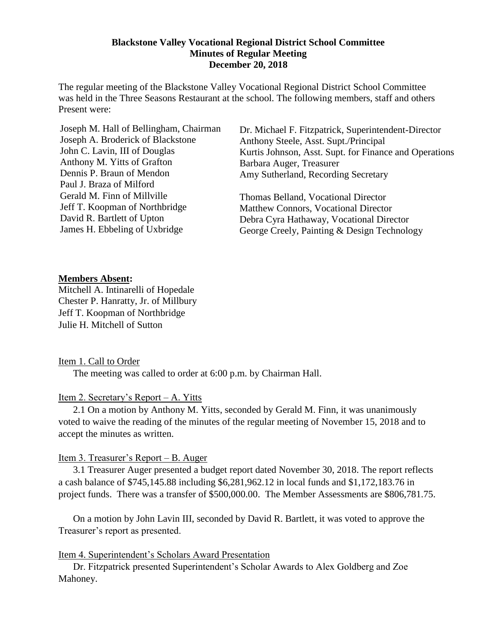#### **Blackstone Valley Vocational Regional District School Committee Minutes of Regular Meeting December 20, 2018**

The regular meeting of the Blackstone Valley Vocational Regional District School Committee was held in the Three Seasons Restaurant at the school. The following members, staff and others Present were:

Dr. Michael F. Fitzpatrick, Superintendent-Director Anthony Steele, Asst. Supt./Principal Kurtis Johnson, Asst. Supt. for Finance and Operations Barbara Auger, Treasurer Amy Sutherland, Recording Secretary

Thomas Belland, Vocational Director Matthew Connors, Vocational Director Debra Cyra Hathaway, Vocational Director George Creely, Painting & Design Technology

#### **Members Absent:**

Mitchell A. Intinarelli of Hopedale Chester P. Hanratty, Jr. of Millbury Jeff T. Koopman of Northbridge Julie H. Mitchell of Sutton

#### Item 1. Call to Order

The meeting was called to order at 6:00 p.m. by Chairman Hall.

## Item 2. Secretary's Report – A. Yitts

2.1 On a motion by Anthony M. Yitts, seconded by Gerald M. Finn, it was unanimously voted to waive the reading of the minutes of the regular meeting of November 15, 2018 and to accept the minutes as written.

## Item 3. Treasurer's Report – B. Auger

3.1 Treasurer Auger presented a budget report dated November 30, 2018. The report reflects a cash balance of \$745,145.88 including \$6,281,962.12 in local funds and \$1,172,183.76 in project funds. There was a transfer of \$500,000.00. The Member Assessments are \$806,781.75.

On a motion by John Lavin III, seconded by David R. Bartlett, it was voted to approve the Treasurer's report as presented.

#### Item 4. Superintendent's Scholars Award Presentation

Dr. Fitzpatrick presented Superintendent's Scholar Awards to Alex Goldberg and Zoe Mahoney.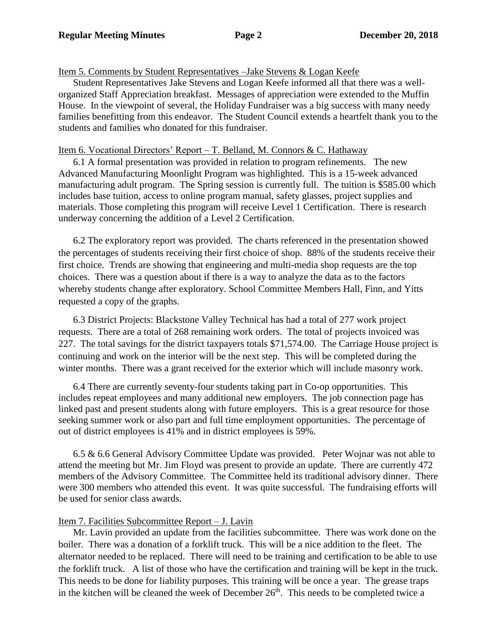## Item 5. Comments by Student Representatives –Jake Stevens & Logan Keefe

Student Representatives Jake Stevens and Logan Keefe informed all that there was a wellorganized Staff Appreciation breakfast. Messages of appreciation were extended to the Muffin House. In the viewpoint of several, the Holiday Fundraiser was a big success with many needy families benefitting from this endeavor. The Student Council extends a heartfelt thank you to the students and families who donated for this fundraiser.

## Item 6. Vocational Directors' Report – T. Belland, M. Connors & C. Hathaway

6.1 A formal presentation was provided in relation to program refinements. The new Advanced Manufacturing Moonlight Program was highlighted. This is a 15-week advanced manufacturing adult program. The Spring session is currently full. The tuition is \$585.00 which includes base tuition, access to online program manual, safety glasses, project supplies and materials. Those completing this program will receive Level 1 Certification. There is research underway concerning the addition of a Level 2 Certification.

6.2 The exploratory report was provided. The charts referenced in the presentation showed the percentages of students receiving their first choice of shop. 88% of the students receive their first choice. Trends are showing that engineering and multi-media shop requests are the top choices. There was a question about if there is a way to analyze the data as to the factors whereby students change after exploratory. School Committee Members Hall, Finn, and Yitts requested a copy of the graphs.

6.3 District Projects: Blackstone Valley Technical has had a total of 277 work project requests. There are a total of 268 remaining work orders. The total of projects invoiced was 227. The total savings for the district taxpayers totals \$71,574.00. The Carriage House project is continuing and work on the interior will be the next step. This will be completed during the winter months. There was a grant received for the exterior which will include masonry work.

6.4 There are currently seventy-four students taking part in Co-op opportunities. This includes repeat employees and many additional new employers. The job connection page has linked past and present students along with future employers. This is a great resource for those seeking summer work or also part and full time employment opportunities. The percentage of out of district employees is 41% and in district employees is 59%.

6.5 & 6.6 General Advisory Committee Update was provided. Peter Wojnar was not able to attend the meeting but Mr. Jim Floyd was present to provide an update. There are currently 472 members of the Advisory Committee. The Committee held its traditional advisory dinner. There were 300 members who attended this event. It was quite successful. The fundraising efforts will be used for senior class awards.

# Item 7. Facilities Subcommittee Report – J. Lavin

Mr. Lavin provided an update from the facilities subcommittee. There was work done on the boiler. There was a donation of a forklift truck. This will be a nice addition to the fleet. The alternator needed to be replaced. There will need to be training and certification to be able to use the forklift truck. A list of those who have the certification and training will be kept in the truck. This needs to be done for liability purposes. This training will be once a year. The grease traps in the kitchen will be cleaned the week of December  $26<sup>th</sup>$ . This needs to be completed twice a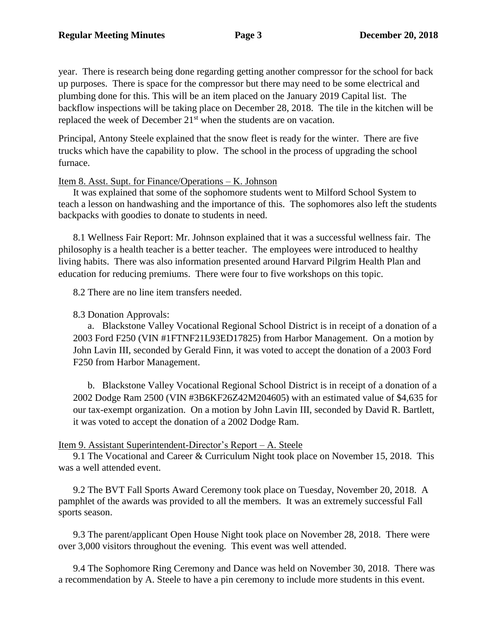year. There is research being done regarding getting another compressor for the school for back up purposes. There is space for the compressor but there may need to be some electrical and plumbing done for this. This will be an item placed on the January 2019 Capital list. The backflow inspections will be taking place on December 28, 2018. The tile in the kitchen will be replaced the week of December 21<sup>st</sup> when the students are on vacation.

Principal, Antony Steele explained that the snow fleet is ready for the winter. There are five trucks which have the capability to plow. The school in the process of upgrading the school furnace.

## Item 8. Asst. Supt. for Finance/Operations – K. Johnson

It was explained that some of the sophomore students went to Milford School System to teach a lesson on handwashing and the importance of this. The sophomores also left the students backpacks with goodies to donate to students in need.

8.1 Wellness Fair Report: Mr. Johnson explained that it was a successful wellness fair. The philosophy is a health teacher is a better teacher. The employees were introduced to healthy living habits. There was also information presented around Harvard Pilgrim Health Plan and education for reducing premiums. There were four to five workshops on this topic.

8.2 There are no line item transfers needed.

## 8.3 Donation Approvals:

a. Blackstone Valley Vocational Regional School District is in receipt of a donation of a 2003 Ford F250 (VIN #1FTNF21L93ED17825) from Harbor Management. On a motion by John Lavin III, seconded by Gerald Finn, it was voted to accept the donation of a 2003 Ford F250 from Harbor Management.

b. Blackstone Valley Vocational Regional School District is in receipt of a donation of a 2002 Dodge Ram 2500 (VIN #3B6KF26Z42M204605) with an estimated value of \$4,635 for our tax-exempt organization. On a motion by John Lavin III, seconded by David R. Bartlett, it was voted to accept the donation of a 2002 Dodge Ram.

## Item 9. Assistant Superintendent-Director's Report – A. Steele

9.1 The Vocational and Career & Curriculum Night took place on November 15, 2018. This was a well attended event.

9.2 The BVT Fall Sports Award Ceremony took place on Tuesday, November 20, 2018. A pamphlet of the awards was provided to all the members. It was an extremely successful Fall sports season.

9.3 The parent/applicant Open House Night took place on November 28, 2018. There were over 3,000 visitors throughout the evening. This event was well attended.

9.4 The Sophomore Ring Ceremony and Dance was held on November 30, 2018. There was a recommendation by A. Steele to have a pin ceremony to include more students in this event.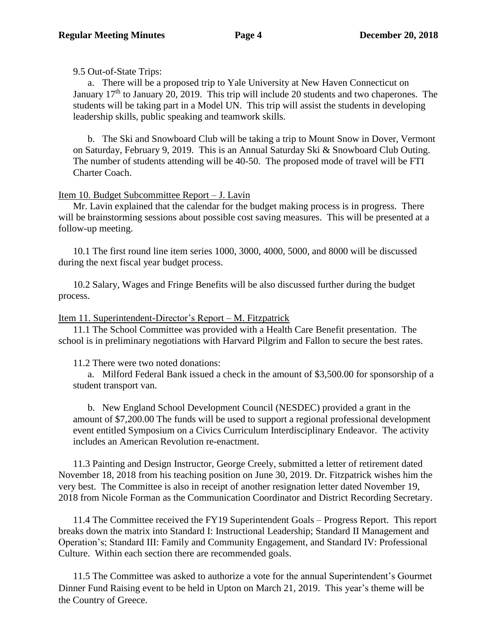9.5 Out-of-State Trips:

a. There will be a proposed trip to Yale University at New Haven Connecticut on January  $17<sup>th</sup>$  to January 20, 2019. This trip will include 20 students and two chaperones. The students will be taking part in a Model UN. This trip will assist the students in developing leadership skills, public speaking and teamwork skills.

b. The Ski and Snowboard Club will be taking a trip to Mount Snow in Dover, Vermont on Saturday, February 9, 2019. This is an Annual Saturday Ski & Snowboard Club Outing. The number of students attending will be 40-50. The proposed mode of travel will be FTI Charter Coach.

# Item 10. Budget Subcommittee Report – J. Lavin

Mr. Lavin explained that the calendar for the budget making process is in progress. There will be brainstorming sessions about possible cost saving measures. This will be presented at a follow-up meeting.

10.1 The first round line item series 1000, 3000, 4000, 5000, and 8000 will be discussed during the next fiscal year budget process.

10.2 Salary, Wages and Fringe Benefits will be also discussed further during the budget process.

# Item 11. Superintendent-Director's Report – M. Fitzpatrick

11.1 The School Committee was provided with a Health Care Benefit presentation. The school is in preliminary negotiations with Harvard Pilgrim and Fallon to secure the best rates.

11.2 There were two noted donations:

a. Milford Federal Bank issued a check in the amount of \$3,500.00 for sponsorship of a student transport van.

b. New England School Development Council (NESDEC) provided a grant in the amount of \$7,200.00 The funds will be used to support a regional professional development event entitled Symposium on a Civics Curriculum Interdisciplinary Endeavor. The activity includes an American Revolution re-enactment.

11.3 Painting and Design Instructor, George Creely, submitted a letter of retirement dated November 18, 2018 from his teaching position on June 30, 2019. Dr. Fitzpatrick wishes him the very best. The Committee is also in receipt of another resignation letter dated November 19, 2018 from Nicole Forman as the Communication Coordinator and District Recording Secretary.

11.4 The Committee received the FY19 Superintendent Goals – Progress Report. This report breaks down the matrix into Standard I: Instructional Leadership; Standard II Management and Operation's; Standard III: Family and Community Engagement, and Standard IV: Professional Culture. Within each section there are recommended goals.

11.5 The Committee was asked to authorize a vote for the annual Superintendent's Gourmet Dinner Fund Raising event to be held in Upton on March 21, 2019. This year's theme will be the Country of Greece.